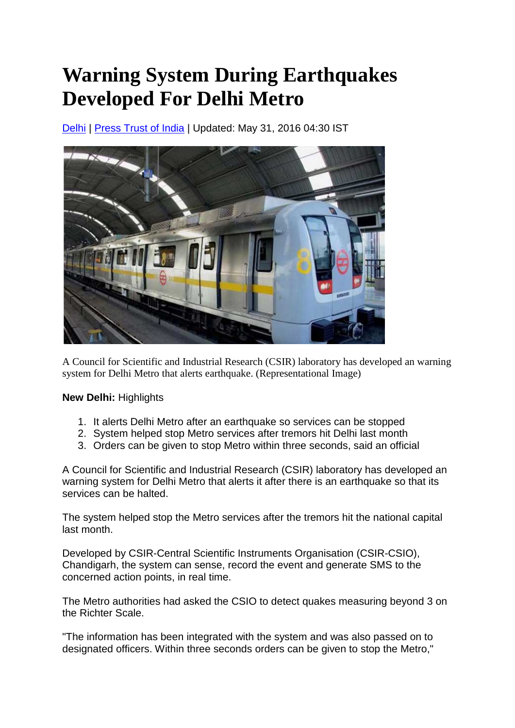## **Warning System During Earthquakes Developed For Delhi Metro**

[Delhi](http://www.ndtv.com/delhi-news) | [Press Trust of India](http://www.ndtv.com/topic/press-trust-of-india) | Updated: May 31, 2016 04:30 IST



A Council for Scientific and Industrial Research (CSIR) laboratory has developed an warning system for Delhi Metro that alerts earthquake. (Representational Image)

**New Delhi:** Highlights

- 1. It alerts Delhi Metro after an earthquake so services can be stopped
- 2. System helped stop Metro services after tremors hit Delhi last month
- 3. Orders can be given to stop Metro within three seconds, said an official

A Council for Scientific and Industrial Research (CSIR) laboratory has developed an warning system for Delhi Metro that alerts it after there is an earthquake so that its services can be halted.

The system helped stop the Metro services after the tremors hit the national capital last month.

Developed by CSIR-Central Scientific Instruments Organisation (CSIR-CSIO), Chandigarh, the system can sense, record the event and generate SMS to the concerned action points, in real time.

The Metro authorities had asked the CSIO to detect quakes measuring beyond 3 on the Richter Scale.

"The information has been integrated with the system and was also passed on to designated officers. Within three seconds orders can be given to stop the Metro,"